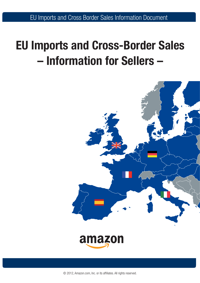EU Imports and Cross Border Sales Information Document

# **EU Imports and Cross-Border Sales – Information for Sellers –**



© 2012, Amazon.com, Inc. or its affiliates. All rights reserved.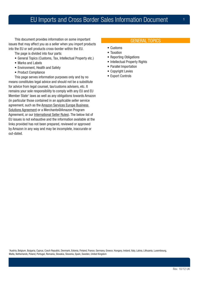# EU Imports and Cross Border Sales Information Document

This document provides information on some important issues that may affect you as a seller when you import products into the EU or sell products cross-border within the EU.

The page is divided into four parts:

- General Topics (Customs, Tax, Intellectual Property etc.)
- Marks and Labels
- Environment, Health and Safety
- Product Compliance

This page serves information purposes only and by no means constitutes legal advice and should not be a substitute for advice from legal counsel, tax/customs advisers, etc. It remains your sole responsibility to comply with any EU and EU Member State<sup>1</sup> laws as well as any obligations towards Amazon (in particular those contained in an applicable seller service agreement, such as the [Amazon Services Europe Business](https://sellercentral-europe.amazon.com/gp/help/external/help-popup.html/ref=ag_1791_cont_200885980?itemID=1791)  [Solutions Agreement](https://sellercentral-europe.amazon.com/gp/help/external/help-popup.html/ref=ag_1791_cont_200885980?itemID=1791) or a Merchants@Amazon Program Agreement, or our [International Seller Rules\)](https://sellercentral-europe.amazon.com/gp/seller/registration/participationAgreement.html/ref=ag_xx_cont_200885980?itemID=200404870&language=en_GB). The below list of EU issues is not exhaustive and the information available at the links provided has not been prepared, reviewed or approved by Amazon in any way and may be incomplete, inaccurate or out-dated.

#### GENERAL TOPICS

- • Customs
- Taxation
- Reporting Obligations
- Intellectual Property Rights
- Parallel Importation
- Copyright Levies
- Export Controls

1 Austria, Belgium, Bulgaria, Cyprus, Czech Republic, Denmark, Estonia, Finland, France, Germany, Greece, Hungary, Ireland, Italy, Latvia, Lithuania, Luxembourg, Malta, Netherlands, Poland, Portugal, Romania, Slovakia, Slovenia, Spain, Sweden, United Kingdom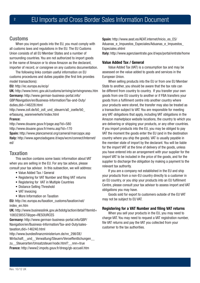# **Customs**

When you import goods into the EU, you must comply with all customs laws and regulations in the EU. The EU Customs Union consists of all EU Member States and a number of surrounding countries. You are not authorized to import goods in the name of Amazon or to show Amazon as the declarant, importer of record, or consignee on any customs documentation.

The following links contain useful information on EU customs procedures and duties payable (the first link provides model transactions):

**EU:** http://ec.europa.eu/ecip/

**UK:**<http://www.hmrc.gov.uk/customs/arriving/arrivingnoneu.htm> **Germany:** [http://www.german-business-portal.info/](http://www.german-business-portal.info/GBP/Navigation/en/Business-Information/Tax-and-Duty/duties,did=146228.html) [GBP/Navigation/en/Business-Information/Tax-and-Duty/](http://www.german-business-portal.info/GBP/Navigation/en/Business-Information/Tax-and-Duty/duties,did=146228.html)

[duties,did=146228.html](http://www.german-business-portal.info/GBP/Navigation/en/Business-Information/Tax-and-Duty/duties,did=146228.html)

[http://www.zoll.de/b0\\_zoll\\_und\\_steuern/a0\\_zoelle/b0\\_](http://www.zoll.de/b0_zoll_und_steuern/a0_zoelle/b0_erfassung_warenverkehr/index.html) [erfassung\\_warenverkehr/index.html](http://www.zoll.de/b0_zoll_und_steuern/a0_zoelle/b0_erfassung_warenverkehr/index.html)

#### **France:**

http://www.douane.gouv.fr/page.asp?id=580 http://www.douane.gouv.fr/menu.asp?id=170 **Spain:**<http://www.plancameral.org/cameral/marcoppx.asp> **Italy:** [http://www.agenziadogane.it/wps/wcm/connect/Internet/](http://www.agenziadogane.it/wps/wcm/connect/Internet/ed/) [ed/](http://www.agenziadogane.it/wps/wcm/connect/Internet/ed/)

# **Taxation**

This section contains some basic information about VAT when you are selling in the EU. For any tax advice, please consult your tax advisor. In this subsection, we will address:

- • Value Added Tax / General
- Registering for VAT Number and filing VAT returns
- Registering for VAT in Multiple Countries
- Distance Selling Threshold
- VAT Invoicing
- More Information on Taxation

**EU:** http://ec.europa.eu/taxation\_customs/taxation/vat/ index\_en.htm

**UK:** [http://www.businesslink.gov.uk/bdotg/action/detail?itemId=](http://www.businesslink.gov.uk/bdotg/action/detail?itemId=1083238557&type=RESOURCES) [1083238557&type=RESOURCES](http://www.businesslink.gov.uk/bdotg/action/detail?itemId=1083238557&type=RESOURCES)

**Germany:** [http://www.german-business-portal.info/GBP/](http://www.german-business-portal.info/GBP/Navigation/en/Business-Information/Tax-and-Duty/sales-taxation,did=146240.html) [Navigation/en/Business-Information/Tax-and-Duty/sales](http://www.german-business-portal.info/GBP/Navigation/en/Business-Information/Tax-and-Duty/sales-taxation,did=146240.html)[taxation,did=146240.html](http://www.german-business-portal.info/GBP/Navigation/en/Business-Information/Tax-and-Duty/sales-taxation,did=146240.html)

[http://www.bundesfinanzministerium.de/nn\\_298/DE/](http://www.bundesfinanzministerium.de/nn_298/DE/Wirtschaft__und__Verwaltung/Steuern/Veroeffentlichungen__zu__Steuerarten/Umsatzsteuer/node.html?__nnn=true)

Wirtschaft und Verwaltung/Steuern/Veroeffentlichungen zu Steuerarten/Umsatzsteuer/node.html? nnn=true

**France:** http://www2.impots.gouv.fr/dresg/gb-accueil.htm

**Spain:** [http://www.aeat.es/AEAT.internet/Inicio\\_es\\_ES/](http://www.aeat.es/AEAT.internet/Inicio_es_ES/Aduanas_e_Impuestos_Especiales/Aduanas_e_Impuestos_Especiales.shtml) Aduanas e Impuestos Especiales/Aduanas e Impuestos [Especiales.shtml](http://www.aeat.es/AEAT.internet/Inicio_es_ES/Aduanas_e_Impuestos_Especiales/Aduanas_e_Impuestos_Especiales.shtml)

**Italy:** http://www.agenziaentrate.gov.it/wps/portal/entrate/home

#### **Value Added Tax / General**

Value Added Tax (VAT) is a consumption tax and may be assessed on the value added to goods and services in the European Union.

When selling products into the EU or from one EU Member State to another, you should be aware that the tax rate can be different from country to country. If you transfer your own goods from one EU country to another or if FBA transfers your goods from a fulfilment centre into another country where your products were stored, the transfer may also be treated as a transaction subject to VAT. You are responsible for meeting any VAT obligations that apply, including VAT obligations in the Amazon marketplace website locations, the country to which you are delivering or shipping your products, or any other countries. If you import products into the EU, you may be obliged to pay VAT the moment the goods enter the EU (and in the destination country where you ship the goods). VAT is usually payable in the member state of import by the declarant. You will be liable for the import VAT at the time of delivery of the goods, unless you have entered into an arrangement with your supplier for the import VAT to be included in the price of the goods, and for the supplier to discharge the obligation by making a payment to the relevant tax authority.

If you are a company not established in the EU and ship your products from a non-EU country directly to a customer in an EU country, or you ship your products into an EU fulfilment Centre, please consult your tax advisor to assess import and VAT obligations you may have.

Goods sold for export to customers outside of the EU VAT may not be subject to EU VAT.

#### **Registering for a VAT Number and filing VAT returns**

When you sell your products in the EU, you may need to charge VAT. You may need to request a VAT registration number, file VAT returns and pay the VAT you collected from your customer to the tax authorities.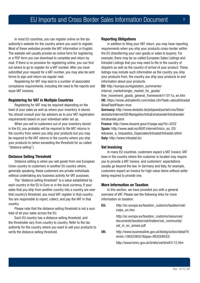In most EU countries, you can register online on the tax authority's website for the country where you want to register. Most of these websites provide the VAT information in English. The website will usually provide an online form for registering or a PDF form you can download to complete and return by mail. If there is no provision for registering online, you can find out where to go to register for a VAT number. After you have submitted your request for a VAT number, you may also be sent forms to sign and return via regular mail.

Registering for VAT may lead to a number of associated compliance requirements, including the need to file reports and issue VAT invoices.

#### **Registering for VAT in Multiple Countries**

Registering for VAT may be required depending on the level of your sales as well as where your inventory is stored. You should consult your tax advisors as to your VAT registration requirements based on your individual seller set up.

When you sell to customers out of your inventory stored in the EU, you probably will be required to file VAT returns in the country from where you ship your products but you may be required to file VAT returns in the country where you ship your products to (when exceeding the threshold for so-called "distance selling").

#### **Distance Selling Threshold**

Distance selling is when you sell goods from one European Union country to customers in another EU country where, generally speaking, these customers are private individuals without undertaking any business activity for VAT purposes.

The "distance selling threshold" is a value established by each country in the EU in Euro or in the local currency. If your sales that you ship from another country into a country are over that country's threshold, you must VAT register in that country. You are responsible to report, collect, and pay the VAT in that country.

Please note that the distance selling threshold is not a sum total of all your sales across the EU.

Each EU country has a distance selling threshold, and the thresholds vary from country to country. Refer to the tax authority for the country where you want to sell your products to verify the distance selling threshold.

#### **Reporting Obligations**

In addition to filing your VAT return, you may have reporting requirements when you ship your products cross-border within the EU (transferring your own goods or sales to buyers). For example, there may be so-called European Sales Listings and Intrastat Listings that you may need to file in the country of dispatch as well as the country of arrival of your product. These listings may include such information as the country you ship your products from, the country you ship your products to and information about your products.

**EU:** [http://europa.eu/legislation\\_summaries/](http://europa.eu/legislation_summaries/internal_market/single_market_for_goods/free_movement_goods_general_framework/l11011a_en.htm)

[internal\\_market/single\\_market\\_for\\_goods/](http://europa.eu/legislation_summaries/internal_market/single_market_for_goods/free_movement_goods_general_framework/l11011a_en.htm)

[free\\_movement\\_goods\\_general\\_framework/l11011a\\_en.htm](http://europa.eu/legislation_summaries/internal_market/single_market_for_goods/free_movement_goods_general_framework/l11011a_en.htm) **UK:** [https://www.uktradeinfo.com/index.cfm?task=aboutIntrastat](https://www.uktradeinfo.com/index.cfm?task=aboutIntrastat&hasFlashPlayer=true) [&hasFlashPlayer=true](https://www.uktradeinfo.com/index.cfm?task=aboutIntrastat&hasFlashPlayer=true)

**Germany:** [http://www.destatis.de/jetspeed/portal/cms/Sites/](http://www.destatis.de/jetspeed/portal/cms/Sites/destatis/Internet/DE/Navigation/IntraExtrahandel/Intrahandel/Intrahandel.psml) [destatis/Internet/DE/Navigation/IntraExtrahandel/Intrahandel/](http://www.destatis.de/jetspeed/portal/cms/Sites/destatis/Internet/DE/Navigation/IntraExtrahandel/Intrahandel/Intrahandel.psml) [Intrahandel.psml](http://www.destatis.de/jetspeed/portal/cms/Sites/destatis/Internet/DE/Navigation/IntraExtrahandel/Intrahandel/Intrahandel.psml)

**France:** http://www.douane.gouv.fr/page.asp?id=3252 **Spain:** [http://www.aeat.es/AEAT.internet/Inicio\\_es\\_ES/](http://www.aeat.es/AEAT.internet/Inicio_es_ES/Aduanas_e_Impuestos_Especiales/Intrastat/Intrastat.shtml) [Aduanas\\_e\\_Impuestos\\_Especiales/Intrastat/Intrastat.shtml](http://www.aeat.es/AEAT.internet/Inicio_es_ES/Aduanas_e_Impuestos_Especiales/Intrastat/Intrastat.shtml) **Italy:** http://www.intrastat.biz

#### **Vat Invoicing**

In many EU countries, customers expect a VAT invoice. VAT laws in the country where the customer is located may require you to provide a VAT invoice, and customers' expectations usually go beyond the law. In Germany and Italy, for example, customers expect an invoice for high-value items without seller being required to provide one.

#### **More Information on Taxation**

In this section, we have provided you with a general overview of VAT. Please see the following links for more information on taxation:

**EU:** [http://ec.europa.eu/taxation\\_customs/taxation/vat/](http://ec.europa.eu/taxation_customs/taxation/vat/index_en.htm) [index\\_en.htm](http://ec.europa.eu/taxation_customs/taxation/vat/index_en.htm)

> http://ec.europa.eu/taxation\_customs/resources/ documents/taxation/vat/traders/vat\_community/ vat\_in\_ec\_annexi.pdf

**UK:** [http://www.businesslink.gov.uk/bdotg/action/detail?it](http://www.businesslink.gov.uk/bdotg/action/detail?itemId=1083238557&type=RESOURCES) [emId=1083238557&type=RESOURCES](http://www.businesslink.gov.uk/bdotg/action/detail?itemId=1083238557&type=RESOURCES)

<http://www.hmrc.gov.uk/briefs/vat/brief3112.htm>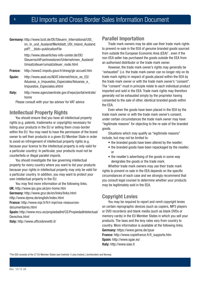**Germany:** [http://www.bzst.de/DE/Steuern\\_International/USt\\_](http://www.german-business-portal.info/GBP/Navigation/en/Business-Information/Tax-and-Duty/sales-taxation,did=146240.html) im In und Ausland/Merkblatt USt Inland Ausland. [pdf?\\_\\_blob=publicationFile](http://www.german-business-portal.info/GBP/Navigation/en/Business-Information/Tax-and-Duty/sales-taxation,did=146240.html) 

> [http://www.steuerliches-info-center.de/DE/](http://www.bundesfinanzministerium.de/nn_298/DE/Wirtschaft__und__Verwaltung/Steuern/Veroeffentlichungen__zu__Steuerarten/Umsatzsteuer/node.html?__nnn=true) [SteuerrechtFuerInvestoren/Unternehmen\\_Ausland/](http://www.bundesfinanzministerium.de/nn_298/DE/Wirtschaft__und__Verwaltung/Steuern/Veroeffentlichungen__zu__Steuerarten/Umsatzsteuer/node.html?__nnn=true) [Umsatzsteuer/umsatzsteuer\\_node.html](http://www.bundesfinanzministerium.de/nn_298/DE/Wirtschaft__und__Verwaltung/Steuern/Veroeffentlichungen__zu__Steuerarten/Umsatzsteuer/node.html?__nnn=true)

- **France:** <http://www2.impots.gouv.fr/dresg/gb-accueil.htm>
- **Spain:** [http://www.aeat.es/AEAT.internet/Inicio\\_es\\_ES/](http://www.aeat.es/AEAT.internet/Inicio_es_ES/Aduanas_e_Impuestos_Especiales/Aduanas_e_Impuestos_Especiales.shtml ) Aduanas e Impuestos Especiales/Aduanas e [Impuestos\\_Especiales.shtml](http://www.aeat.es/AEAT.internet/Inicio_es_ES/Aduanas_e_Impuestos_Especiales/Aduanas_e_Impuestos_Especiales.shtml )
- **Italy:** [http://www.agenziaentrate.gov.it/wps/portal/entrate/](http://www.agenziaentrate.gov.it/wps/portal/entrate/home) [home](http://www.agenziaentrate.gov.it/wps/portal/entrate/home)

Please consult with your tax advisor for VAT advice

# **Intellectual Property Rights**

You should ensure that you have all intellectual property rights (e.g. patents, trademarks or copyrights) necessary for listing your products in the EU or selling them cross-border within the EU. You may need to have the permission of the brand owner to sell their products in a given EU Member State in order to avoid an infringement of intellectual property rights (e.g. because your licence to the intellectual property is only valid for a particular country). In particular, your products must not be counterfeits or illegal parallel imports.

You should investigate the law governing intellectual property for every country where you want to list your products because your rights in intellectual property may only be valid for a particular country. In addition, you may want to protect your own intellectual property in the EU.

You may find more information at the following links. **UK:** http://www.ipo.gov.uk/pro-home.htm

**Germany:** [http://www.grur.de/en/links/links.html](http://www.grur.de/en/links/links.html http://www.dpma.de/english/index.html)

[http://www.dpma.de/english/index.html](http://www.grur.de/en/links/links.html http://www.dpma.de/english/index.html)

**France:** [http://www.inpi.fr/fr/l-inpi/nos-ressources-](http://www.inpi.fr/fr/l-inpi/nos-ressources-documentaires.html)

[documentaires.html](http://www.inpi.fr/fr/l-inpi/nos-ressources-documentaires.html)

**Spain:** [http://www.mcu.es/propiedadInt/CE/PropiedadIntelectual/](http://www.mcu.es/propiedadInt/CE/PropiedadIntelectual/Derechos.html) [Derechos.html](http://www.mcu.es/propiedadInt/CE/PropiedadIntelectual/Derechos.html)

**Italy:** http://www.ufficiobrevetti.it/

# **Parallel Importation**

Trade mark owners may be able use their trade mark rights to prevent re-sale in the EEA of genuine branded goods sourced from outside the European Economic Area (EEA) $<sup>2</sup>$ , even if the</sup> non-EEA seller has purchased the goods outside the EEA from an authorised distributor or the trade mark owner.

However, the trade mark owner's rights may generally be "exhausted" (i.e. the trade mark owner can no longer rely on its trade mark rights) in respect of goods placed within the EEA by the trade mark owner or with the trade mark owner's "consent". The "consent" must in principle relate to each individual product imported and sold in the EEA. Trade mark rights may therefore generally not be exhausted simply by the proprietor having consented to the sale of other, identical branded goods within the EEA.

Even when the goods have been placed in the EEA by the trade mark owner or with the trade mark owner's consent, under certain circumstances the trade mark owner may have "legitimate reasons" for objecting to the re-sale of the branded goods.

Situations which may qualify as "legitimate reasons" include, but may not be limited to:

- the branded goods have been altered by the reseller;
- the branded goods have been repackaged by the reseller; or
- the reseller's advertising of the goods in some way denigrates the goods or the trade mark.

Whether trade mark owners may use their trade mark rights to prevent re-sale in the EEA depends on the specific circumstances of each case and we strongly recommend that you consult legal counsel to determine whether your products may be legitimately sold in the EEA.

# **Copyright Levies**

You may be required to report and remit copyright levies on certain reprographic devices (such as copiers, MP3 players or DVD recorders) and blank media (such as blank DVDs or memory cards) in the EU Member States in which you sell your products. The laws and the levy rates vary from country to country. More information is available at the following links. **Germany:** https://www.gema.de/zpue

**France:** http://www.copiefrance.fr/ll\_supports.htm **Spain:** http://www.sgae.es/ **Italy:** http://www.siae.it

2 The EEA consists of the 27 EU Member States (see footnote 1) plus Iceland, Liechtenstein and Norway.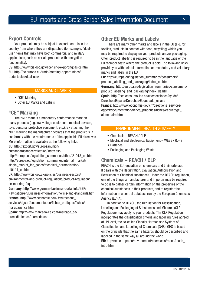# **Export Controls**

Your products may be subject to export controls in the country from where they are dispatched (for example, "dualuse" items that may have both commercial and military applications, such as certain products with encryption functionality).

**US:** http://www.bis.doc.gov/licensing/exportingbasics.htm EU: [http://ec.europa.eu/trade/creating-opportunities/](http://ec.europa.eu/trade/creating-opportunities/trade-topics/dual-use/) [trade-topics/dual-use/](http://ec.europa.eu/trade/creating-opportunities/trade-topics/dual-use/)

#### MARKS AND LABELS

- "CE" Marking
- Other EU Marks and Labels

### **"CE" Marking**

The "CE" mark is a mandatory conformance mark on many products (e.g. low voltage equipment, medical devices, toys, personal protective equipment, etc.). By attaching the "CE" marking the manufacturer declares that the product is in conformity with the requirements of the applicable EU directives. More information is available at the following links.

EU: [http://export.gov/europeanunion/](http://export.gov/europeanunion/eustandardsandcertification/index.asp)

[eustandardsandcertification/index.asp](http://export.gov/europeanunion/eustandardsandcertification/index.asp)

[http://europa.eu/legislation\\_summaries/other/l21013\\_en.htm](http://europa.eu/legislation_summaries/other/l21013_en.htm) [http://europa.eu/legislation\\_summaries/internal\\_market/](http://europa.eu/legislation_summaries/internal_market/single_market_for_goods/technical_harmonisation/l10141_en.htm) [single\\_market\\_for\\_goods/technical\\_harmonisation/](http://europa.eu/legislation_summaries/internal_market/single_market_for_goods/technical_harmonisation/l10141_en.htm) [l10141\\_en.htm](http://europa.eu/legislation_summaries/internal_market/single_market_for_goods/technical_harmonisation/l10141_en.htm)

**UK:** http://www.bis.gov.uk/policies/business-sectors/ environmental-and-product-regulations/product-regulation/ ce-marking-faqs

**Germany:** [http://www.german-business-portal.info/GBP/](http://www.german-business-portal.info/GBP/Navigation/en/Business-Information/norms-and-standards.html) [Navigation/en/Business-Information/norms-and-standards.html](http://www.german-business-portal.info/GBP/Navigation/en/Business-Information/norms-and-standards.html) **France:** [http://www.economie.gouv.fr/directions\\_](http://www.economie.gouv.fr/directions_services/dgccrf/documentation/fiches_pratiques/fiches/marquage_ce.htm)

[services/dgccrf/documentation/fiches\\_pratiques/fiches/](http://www.economie.gouv.fr/directions_services/dgccrf/documentation/fiches_pratiques/fiches/marquage_ce.htm) [marquage\\_ce.htm](http://www.economie.gouv.fr/directions_services/dgccrf/documentation/fiches_pratiques/fiches/marquage_ce.htm)

**Spain:** [http://www.marcado-ce.com/marcado\\_ce/](http://www.marcado-ce.com/marcado_ce/procedimientos/marcado.asp) [procedimientos/marcado.asp](http://www.marcado-ce.com/marcado_ce/procedimientos/marcado.asp)

# **Other EU Marks and Labels**

There are many other marks and labels in the EU (e.g. for textiles, products in contact with food, recycling) which you may be required to display on your products and/or packaging. Often product labelling is required to be in the language of the EU Member State where the product is sold. The following links provide you with helpful information on mandatory and voluntary marks and labels in the EU:

**EU:** http://europa.eu/legislation\_summaries/consumers/ product\_labelling\_and\_packaging/index\_en.htm **Germany:** http://europa.eu/legislation\_summaries/consumers/ product\_labelling\_and\_packaging/index\_de.htm **Spain:** http://cec.consumo-inc.es/cec/secciones/ayuda/ Derechos/Espana/Derechos/Etiquetado\_es.asp **France:** http://www.economie.gouv.fr/directions\_services/ dgccrf/documentation/fiches\_pratiques/fiches/etiquetage\_ alimentaire.htm

#### ENVIRONMENT, HEALTH & SAFETY

- Chemicals REACH / CLP
- Electrical and Electronical Equipment WEEE / RoHS
- • Batteries
- Packaging and Packaging Waste

# **Chemicals – REACH / CLP**

REACH is the EU regulation on chemicals and their safe use. It deals with the Registration, Evaluation, Authorisation and Restriction of Chemical substances. Under the REACH regulation, one of the things a manufacturer and importer may be required to do is to gather certain information on the properties of the chemical substances in their products, and to register the information in a central database run by the European Chemicals Agency (ECHA).

In addition to REACH, the Regulation for Classification, Labelling and Packaging of Substances and Mixtures (CLP Regulation) may apply to your products. The CLP Regulation incorporates the classification criteria and labelling rules agreed at UN level, the so-called Globally Harmonised System of Classification and Labelling of Chemicals (GHS). GHS is based on the principle that the same hazards should be described and labelled in the same way all around the world.

**EU:** http://ec.europa.eu/environment/chemicals/reach/reach\_ intro.htm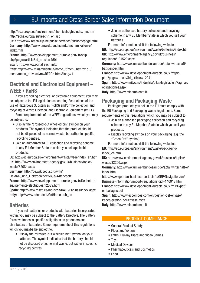# <sup>6</sup> EU Imports and Cross Border Sales Information Document

http://ec.europa.eu/environment/chemicals/ghs/index\_en.htm http://echa.europa.eu/reachit\_en.asp

UK: http://www.reach-clp-helpdesk.de/reach/en/Homepage.html **Germany:** [http://www.umweltbundesamt.de/chemikalien-e/](http://www.umweltbundesamt.de/chemikalien-e/index.htm) [index.htm](http://www.umweltbundesamt.de/chemikalien-e/index.htm)

**France:** [http://www.developpement-durable.gouv.fr/spip.](http://www.developpement-durable.gouv.fr/spip.php?page=article&id_article=4591) [php?page=article&id\\_article=4591](http://www.developpement-durable.gouv.fr/spip.php?page=article&id_article=4591)

Spain: http://www.portalreach.info/

**Italy:** [http://www.minambiente.it/home\\_it/menu.html?mp=/](http://www.minambiente.it/home_it/menu.html?mp=/menu/menu_attivita/&m=REACH.html&lang=it) [menu/menu\\_attivita/&m=REACH.html&lang=it](http://www.minambiente.it/home_it/menu.html?mp=/menu/menu_attivita/&m=REACH.html&lang=it)

# **Electrical and Electronical Equipment – WEEE / RoHS**

If you are selling electrical or electronic equipment, you may be subject to the EU legislation concerning Restrictions of the use of Hazardous Substances (RoHS) and/or the collection and recycling of Waste Electrical and Electronic Equipment (WEEE).

Some requirements of the WEEE regulations which you may be subject to:

- Display the "crossed-out wheeled bin" symbol on your products. The symbol indicates that the product should not be disposed of as normal waste, but rather in specific recycling centres.
- Join an authorized WEEE collection and recycling scheme in any EU Member State in which you sell applicable products.

**EU:** http://ec.europa.eu/environment//waste/weee/index\_en.htm **UK:** [http://www.environment-agency.gov.uk/business/topics/](http://www.environment-agency.gov.uk/business/topics/waste/32084.aspx) [waste/32084.aspx](http://www.environment-agency.gov.uk/business/topics/waste/32084.aspx)

**Germany:** [http://de.wikipedia.org/wiki/](http://de.wikipedia.org/wiki/Elektro-_und_Elektronikger%C3%A4tegesetz)

Elektro- und Elektronikger%C3%A4tegesetz

**France:** [http://www.developpement-durable.gouv.fr/Dechets-d](http://de.wikipedia.org/wiki/Elektro-_und_Elektronikger%C3%A4tegesetz)[equipements-electriques,12039.html](http://de.wikipedia.org/wiki/Elektro-_und_Elektronikger%C3%A4tegesetz)

**Spain:** http://www.mityc.es/industria/RAEE/Paginas/Index.aspx **Italy:** http://www.cdcraee.it/GetHome.pub\_do

# **Batteries**

If you sell batteries or products with batteries incorporated within, you may be subject to the Battery Directive. The Battery Directive imposes specific obligations on producers and distributors of batteries. Some requirements of this regulations which you maybe be subject to:

• Display the "crossed-out wheeled bin" symbol on your batteries. The symbol indicates that the battery should not be disposed of as normal waste, but rather in specific recycling centres.

• Join an authorised battery collection and recycling scheme in any EU Member State in which you sell your batteries.

For more information, visit the following websites

**EU:** http://ec.europa.eu/environment/waste/batteries/index.htm **UK:** [http://www.environment-agency.gov.uk/business/](http://www.environment-agency.gov.uk/business/regulation/101529.aspx) [regulation/101529.aspx](http://www.environment-agency.gov.uk/business/regulation/101529.aspx)

**Germany:** [http://www.umweltbundesamt.de/abfallwirtschaft/](http://www.umweltbundesamt.de/abfallwirtschaft/battg/index.htm) [battg/index.htm](http://www.umweltbundesamt.de/abfallwirtschaft/battg/index.htm)

**France:** [http://www.developpement-durable.gouv.fr/spip.](http://www.developpement-durable.gouv.fr/spip.php?page=article&id_article=12041) [php?page=article&id\\_article=12041](http://www.developpement-durable.gouv.fr/spip.php?page=article&id_article=12041)

**Spain:** [http://www.mityc.es/industria/pilas/legislacion/Paginas/](http://www.mityc.es/industria/pilas/legislacion/Paginas/obligaciones.aspx) [obligaciones.aspx](http://www.mityc.es/industria/pilas/legislacion/Paginas/obligaciones.aspx)

**Italy:** http://www.minambiente.it

# **Packaging and Packaging Waste**<br>Packaged products you sell in the EU must comply with

the EU Packaging and Packaging Waste regulations. Some requirements of this regulations which you may be subject to:

- Join an authorised packaging collection and recycling scheme in any EU Member State in which you sell your products.
- Display recycling symbols on your packaging (e.g. the "Green Dot" symbol).

For more information, visit the following websites:

**EU:** http://ec.europa.eu/environment/waste/packaging/ index\_en.htm

**UK:** [http://www.environment-agency.gov.uk/business/topics/](http://www.environment-agency.gov.uk/business/topics/waste/32206.aspx) [waste/32206.aspx](http://www.environment-agency.gov.uk/business/topics/waste/32206.aspx)

**Germany:** [http://www.umweltbundesamt.de/abfallwirtschaft-e/](http://www.umweltbundesamt.de/abfallwirtschaft-e/index.htm) [index.htm](http://www.umweltbundesamt.de/abfallwirtschaft-e/index.htm)

[http://www.german-business-portal.info/GBP/Navigation/en/](http://www.german-business-portal.info/GBP/Navigation/en/Business-Information/import-regulations,did=146918.html) [Business-Information/import-regulations,did=146918.html](http://www.german-business-portal.info/GBP/Navigation/en/Business-Information/import-regulations,did=146918.html) **France:** [http://www.developpement-durable.gouv.fr/IMG/pdf/](http://www.developpement-durable.gouv.fr/IMG/pdf/emballages.pdf) [emballages.pdf](http://www.developpement-durable.gouv.fr/IMG/pdf/emballages.pdf)

**Spain:** [http://www.ecoembes.com/en/gestion-del-envase/](http://www.ecoembes.com/en/gestion-del-envase/Pages/gestion-del-envase.aspx) [Pages/gestion-del-envase.aspx](http://www.ecoembes.com/en/gestion-del-envase/Pages/gestion-del-envase.aspx)

**Italy:** http://www.minambiente.it

#### PRODUCT COMPLIANCE

- General Product Safety
- Plugs and Voltage
- DVDs, Blu-ray Discs and Video Games
- Toys
- Medical Devices
- • Pharmaceuticals and Cosmetics
- • Food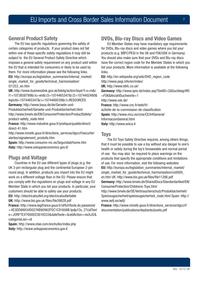# **General Product Safety**

The EU has specific regulations governing the safety of certain categories of products. If your product does not fall within one of these specific safety regulations it may still be subject to the EU General Product Safety Directive which imposes a general safety requirement on any product sold within the EU that is intended for consumers or likely to be used by them. For more information please see the following links. **EU:** [http://europa.eu/legislation\\_summaries/internal\\_market/](http://europa.eu/legislation_summaries/internal_market/single_market_for_goods/technical_harmonisation/l21253_en.htm) [single\\_market\\_for\\_goods/technical\\_harmonisation/](http://europa.eu/legislation_summaries/internal_market/single_market_for_goods/technical_harmonisation/l21253_en.htm) [l21253\\_en.htm](http://europa.eu/legislation_summaries/internal_market/single_market_for_goods/technical_harmonisation/l21253_en.htm)

**UK:** [http://www.businesslink.gov.uk/bdotg/action/layer?r.s=m&r.](http://www.businesslink.gov.uk/bdotg/action/layer?r.s=m&r.l1=1073858799&r.lc=en&r.l3=1074465347&r.l2=1074402480&topicId=1074465347&r.i=1074469539&r.t=RESOURCES) [l1=1073858799&r.lc=en&r.l3=1074465347&r.l2=1074402480&](http://www.businesslink.gov.uk/bdotg/action/layer?r.s=m&r.l1=1073858799&r.lc=en&r.l3=1074465347&r.l2=1074402480&topicId=1074465347&r.i=1074469539&r.t=RESOURCES) [topicId=1074465347&r.i=1074469539&r.t=RESOURCES](http://www.businesslink.gov.uk/bdotg/action/layer?r.s=m&r.l1=1073858799&r.lc=en&r.l3=1074465347&r.l2=1074402480&topicId=1074465347&r.i=1074469539&r.t=RESOURCES) **Germany:** [http://www.baua.de/de/Geraete-und-](http://www.baua.de/de/Geraete-und-Produktsicherheit/Geraete-und-Produktsicherheit.html http://www.bmelv.de/EN/ConsumerProtection/ProductSafety/product-safety_node.html)[Produktsicherheit/Geraete-und-Produktsicherheit.html](http://www.baua.de/de/Geraete-und-Produktsicherheit/Geraete-und-Produktsicherheit.html http://www.bmelv.de/EN/ConsumerProtection/ProductSafety/product-safety_node.html)

[http://www.bmelv.de/EN/ConsumerProtection/ProductSafety/](http://www.baua.de/de/Geraete-und-Produktsicherheit/Geraete-und-Produktsicherheit.html http://www.bmelv.de/EN/ConsumerProtection/ProductSafety/product-safety_node.html) [product-safety\\_node.html](http://www.baua.de/de/Geraete-und-Produktsicherheit/Geraete-und-Produktsicherheit.html http://www.bmelv.de/EN/ConsumerProtection/ProductSafety/product-safety_node.html)

**France:** [http://www.industrie.gouv.fr/pratique/qualite/direct/](http://www.industrie.gouv.fr/pratique/qualite/direct/direct-41.htm) [direct-41.htm](http://www.industrie.gouv.fr/pratique/qualite/direct/direct-41.htm)

[http://www.minefe.gouv.fr/directions\\_services/dgccrf/securite/](http://www.minefe.gouv.fr/directions_services/dgccrf/securite/alertes/signalement_produits.htm) [alertes/signalement\\_produits.htm](http://www.minefe.gouv.fr/directions_services/dgccrf/securite/alertes/signalement_produits.htm)

**Spain:** [http://www.consumo-inc.es/Seguridad/home.htm](http://www.consumo-inc.es/Seguridad/home.htm Italy: http://www.sviluppoeconomico.gov.it/) **Italy:** [http://www.sviluppoeconomico.gov.it/](http://www.consumo-inc.es/Seguridad/home.htm Italy: http://www.sviluppoeconomico.gov.it/)

# **Plugs and Voltage**

Countries in the EU use different types of plugs (e.g. the UK 3-pin rectangular plug and the continental European 2-pin round plug). In addition, products you import into the EU might work on a different voltage than in the EU. Please ensure that you comply with the regulations on plugs and voltage in any EU Member State in which you list your products. In particular, your customers should be able to safely use your products. **EU:** http://electricaloutlet.org/electricaloutlettable

**UK:** http://www.bis.gov.uk/files/file38628.pdf

**France:** [http://www.legifrance.gouv.fr/affichTexte.do;jsessionid](http://www.legifrance.gouv.fr/affichTexte.do;jsessionid=4E3DD88834D0274B90962FDC1C81606B.tpdjo13v_2?cidTexte=JORFTEXT000023619533&dateTexte=&oldAction=rechJO&categorieLien=id) [=4E3DD88834D0274B90962FDC1C81606B.tpdjo13v\\_2?cidText](http://www.legifrance.gouv.fr/affichTexte.do;jsessionid=4E3DD88834D0274B90962FDC1C81606B.tpdjo13v_2?cidTexte=JORFTEXT000023619533&dateTexte=&oldAction=rechJO&categorieLien=id) [e=JORFTEXT000023619533&dateTexte=&oldAction=rechJO&](http://www.legifrance.gouv.fr/affichTexte.do;jsessionid=4E3DD88834D0274B90962FDC1C81606B.tpdjo13v_2?cidTexte=JORFTEXT000023619533&dateTexte=&oldAction=rechJO&categorieLien=id) [categorieLien=id](http://www.legifrance.gouv.fr/affichTexte.do;jsessionid=4E3DD88834D0274B90962FDC1C81606B.tpdjo13v_2?cidTexte=JORFTEXT000023619533&dateTexte=&oldAction=rechJO&categorieLien=id)

**Spain:** http://www.otae.com/enchufes/index.php **Italy:** http://www.sviluppoeconomico.gov.it

# **DVDs, Blu-ray Discs and Video Games**

EU Member States may have mandatory age requirements for DVDs, Blu-ray discs and video games where you list your products (e.g. BBFC/PEGI in the UK and FSK/USK in Germany). You should also make sure that your DVDs and Blu-ray discs have the correct region code for the Member States in which you list your products. More information is available at the following links.

**EU:** http://en.wikipedia.org/wiki/DVD\_region\_code http://www.pegi.info/en/index/ **UK:** http://www.bbfc.co.uk/ **Germany:** [http://www.spio.de/index.asp?SeitID=2&Suchbegriff0](http://www.spio.de/index.asp?SeitID=2&Suchbegriff0=FSK&AnzahlSuchworte=1 http://www.usk.de/) [=FSK&AnzahlSuchworte=1](http://www.spio.de/index.asp?SeitID=2&Suchbegriff0=FSK&AnzahlSuchworte=1 http://www.usk.de/) [http://www.usk.de/](http://www.spio.de/index.asp?SeitID=2&Suchbegriff0=FSK&AnzahlSuchworte=1 http://www.usk.de/) **France:** [http://www.cnc.fr/web/fr/](http://www.cnc.fr/web/fr/activite-de-la-commission-de-classification) [activite-de-la-commission-de-classification](http://www.cnc.fr/web/fr/activite-de-la-commission-de-classification) **Spain:** [http://www.mcu.es/cine/CE/InfGeneral/](http://www.mcu.es/cine/CE/InfGeneral/InformacionGeneral.html) [InformacionGeneral.html](http://www.mcu.es/cine/CE/InfGeneral/InformacionGeneral.html) **Italy:** http://www.anica.it

#### **Toys**

The EU Toys Safety Directive requires, among others things, that it must be possible to use a toy without any danger to one's health or safety during the toy's foreseeable and normal period of use. You may also be required to place warnings on the products that specify the appropriate conditions and limitations of use. For more information, visit the following websites: **EU:** [http://europa.eu/legislation\\_summaries/internal\\_market/](http://europa.eu/legislation_summaries/internal_market/single_market_for_goods/technical_harmonisation/co0009_en.htm UK: http://www.bis.gov.uk/files/file11286.pdf) single\_market\_for\_goods/technical\_harmonisation/co0009 [en.htm UK: http://www.bis.gov.uk/files/file11286.pdf](http://europa.eu/legislation_summaries/internal_market/single_market_for_goods/technical_harmonisation/co0009_en.htm UK: http://www.bis.gov.uk/files/file11286.pdf) **Germany:** [http://www.bmelv.de/SharedDocs/Standardartikel/EN/](http://www.bmelv.de/SharedDocs/Standardartikel/EN/ConsumerProtection/Childrens-Toys.html) [ConsumerProtection/Childrens-Toys.html](http://www.bmelv.de/SharedDocs/Standardartikel/EN/ConsumerProtection/Childrens-Toys.html) [http://www.bmelv.de/DE/Verbraucherschutz/Produktsicherheit/](http://www.bmelv.de/DE/Verbraucherschutz/Produktsicherheit/Spielzeugsicherheit/spielzeugsicherheit_node.html Spain: http://www.aefj.es/aefj/) [Spielzeugsicherheit/spielzeugsicherheit\\_node.html Spain: http://](http://www.bmelv.de/DE/Verbraucherschutz/Produktsicherheit/Spielzeugsicherheit/spielzeugsicherheit_node.html Spain: http://www.aefj.es/aefj/) [www.aefj.es/aefj/](http://www.bmelv.de/DE/Verbraucherschutz/Produktsicherheit/Spielzeugsicherheit/spielzeugsicherheit_node.html Spain: http://www.aefj.es/aefj/)

**France:** [http://www.minefe.gouv.fr/directions\\_services/dgccrf/](http://www.minefe.gouv.fr/directions_services/dgccrf/documentation/publications/depliants/jouets.pdf) [documentation/publications/depliants/jouets.pdf](http://www.minefe.gouv.fr/directions_services/dgccrf/documentation/publications/depliants/jouets.pdf)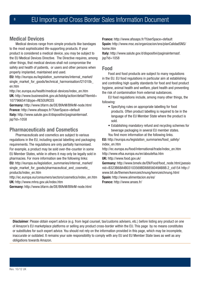# **Medical Devices**

Medical devices range from simple products like bandages to the most sophisticated life-supporting products. If your product is considered a medical device, you may be subject to the EU Medical Devices Directive. The Directive requires, among other things, that medical devices shall not compromise the safety and health of patients, or users and other persons when properly implanted, maintained and used.

**EU:** [http://europa.eu/legislation\\_summaries/internal\\_market/](http://europa.eu/legislation_summaries/internal_market/single_market_for_goods/technical_harmonisation/l21010b_en.htm) [single\\_market\\_for\\_goods/technical\\_harmonisation/l21010b\\_](http://europa.eu/legislation_summaries/internal_market/single_market_for_goods/technical_harmonisation/l21010b_en.htm) [en.htm](http://europa.eu/legislation_summaries/internal_market/single_market_for_goods/technical_harmonisation/l21010b_en.htm) 

[http://ec.europa.eu/health/medical-devices/index\\_en.htm](http://europa.eu/legislation_summaries/internal_market/single_market_for_goods/technical_harmonisation/l21010b_en.htm) **UK:** [http://www.businesslink.gov.uk/bdotg/action/detail?itemId=](http://ec.europa.eu/health/medical-devices/index_en.htm) [1077966541&type=RESOURCES](http://ec.europa.eu/health/medical-devices/index_en.htm)

**Germany:** http://www.bfarm.de/DE/BfArM/BfArM-node.html **France:** http://www.afssaps.fr/?UserSpace=default **Italy:** [http://www.salute.gov.it/dispositivi/paginainternasf.](http://www.salute.gov.it/dispositivi/paginainternasf.jsp?id=1058)  $isp?id=1058$ 

# **Pharmaceuticals and Cosmetics**

Pharmaceuticals and cosmetics are subject to various regulations in the EU, including special labelling and packaging requirements. The regulations are only partially harmonised. For example, a product may be sold over-the-counter in some EU Member States, while in others it may only be legally sold in pharmacies. For more information see the following links: **EU:** [http://europa.eu/legislation\\_summaries/internal\\_market/](http://europa.eu/legislation_summaries/internal_market/single_market_for_goods/pharmaceutical_and_cosmetic_products/index_en.htm) single\_market\_for\_goods/pharmaceutical\_and\_cosmetic [products/index\\_en.htm](http://europa.eu/legislation_summaries/internal_market/single_market_for_goods/pharmaceutical_and_cosmetic_products/index_en.htm) 

[http://ec.europa.eu/consumers/sectors/cosmetics/index\\_en.htm](http://europa.eu/legislation_summaries/internal_market/single_market_for_goods/pharmaceutical_and_cosmetic_products/index_en.htm) **UK:** http://www.mhra.gov.uk/index.htm

**Germany:** http://www.bfarm.de/DE/BfArM/BfArM-node.html

**France:** http://www.afssaps.fr/?UserSpace=default **Spain:** [http://www.msc.es/organizacion/sns/planCalidadSNS/](http://www.msc.es/organizacion/sns/planCalidadSNS/home.htm) [home.htm](http://www.msc.es/organizacion/sns/planCalidadSNS/home.htm)

**Italy:** [http://www.salute.gov.it/dispositivi/paginainternasf.](http://www.salute.gov.it/dispositivi/paginainternasf.jsp?id=1058) [jsp?id=1058](http://www.salute.gov.it/dispositivi/paginainternasf.jsp?id=1058)

# **Food**

Food and food products are subject to many regulations in the EU. EU food regulations in particular aim at establishing and controlling high quality standards for food and food product hygiene, animal health and welfare, plant health and preventing the risk of contamination from external substances.

EU food regulations include, among many other things, the following:

- Specifying rules on appropriate labelling for food products. Often product labelling is required to be in the language of the EU Member State where the product is sold.
- Establishing mandatory refund and recycling schemes for beverage packaging in several EU member states. You find more information at the following links.

**EU:** [http://europa.eu/legislation\\_summaries/food\\_safety/](http://europa.eu/legislation_summaries/food_safety/index_en.htm) [index\\_en.htm](http://europa.eu/legislation_summaries/food_safety/index_en.htm)

http://ec.europa.eu/food/international/trade/index\_en.htm http://www.efsa.europa.eu/en/aboutefsa.htm

**UK:** http://www.food.gov.uk/

**Germany:** [http://www.bmelv.de/EN/Food/food\\_node.html;jsessio](http://www.bmelv.de/EN/Food/food_node.html;jsessionid=B323B68A4B03103569BD88856049AB8B.2_cid154 http://www.bll.de/themen/kennzeichnung/kennzeichnung.html) [nid=B323B68A4B03103569BD88856049AB8B.2\\_cid154 http://](http://www.bmelv.de/EN/Food/food_node.html;jsessionid=B323B68A4B03103569BD88856049AB8B.2_cid154 http://www.bll.de/themen/kennzeichnung/kennzeichnung.html) [www.bll.de/themen/kennzeichnung/kennzeichnung.html](http://www.bmelv.de/EN/Food/food_node.html;jsessionid=B323B68A4B03103569BD88856049AB8B.2_cid154 http://www.bll.de/themen/kennzeichnung/kennzeichnung.html) **Spain:** http://www.alimentacion.es/es/ **France:** http://www.anses.fr/

**Disclaimer**: Please obtain expert advice (e.g. from legal counsel, tax/customs advisers, etc.) before listing any product on one of Amazon's EU marketplace platforms or selling any product cross-border within the EU. This page by no means constitutes or substitutes for such expert advice. You should not rely on the information provided in this page, which may be incomplete, inaccurate or outdated. It remains your sole responsibility to comply with any EU and EU Member State laws as well as any obligations towards Amazon.